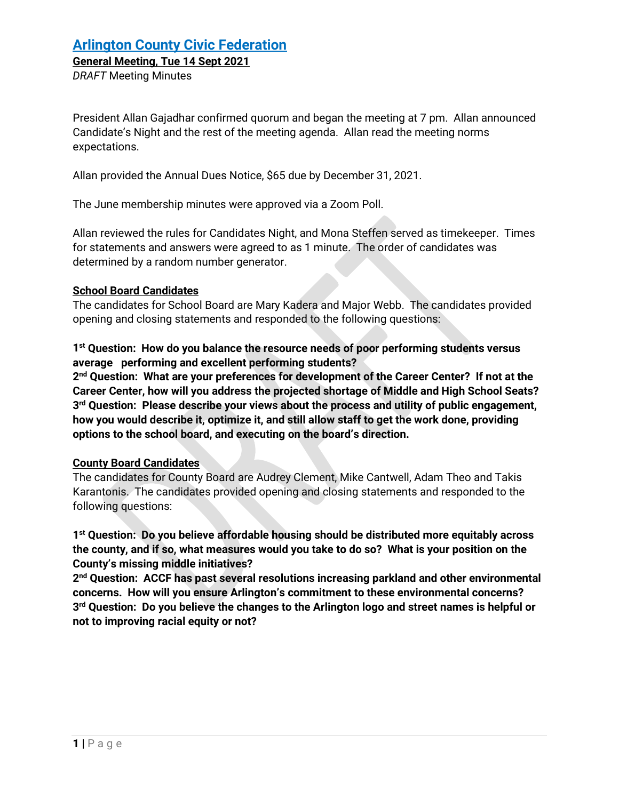**General Meeting, Tue 14 Sept 2021**

*DRAFT* Meeting Minutes

President Allan Gajadhar confirmed quorum and began the meeting at 7 pm. Allan announced Candidate's Night and the rest of the meeting agenda. Allan read the meeting norms expectations.

Allan provided the Annual Dues Notice, \$65 due by December 31, 2021.

The June membership minutes were approved via a Zoom Poll.

Allan reviewed the rules for Candidates Night, and Mona Steffen served as timekeeper. Times for statements and answers were agreed to as 1 minute. The order of candidates was determined by a random number generator.

#### **School Board Candidates**

The candidates for School Board are Mary Kadera and Major Webb. The candidates provided opening and closing statements and responded to the following questions:

## **1st Question: How do you balance the resource needs of poor performing students versus average performing and excellent performing students?**

**2nd Question: What are your preferences for development of the Career Center? If not at the Career Center, how will you address the projected shortage of Middle and High School Seats? 3rd Question: Please describe your views about the process and utility of public engagement, how you would describe it, optimize it, and still allow staff to get the work done, providing options to the school board, and executing on the board's direction.**

## **County Board Candidates**

The candidates for County Board are Audrey Clement, Mike Cantwell, Adam Theo and Takis Karantonis. The candidates provided opening and closing statements and responded to the following questions:

**1st Question: Do you believe affordable housing should be distributed more equitably across the county, and if so, what measures would you take to do so? What is your position on the County's missing middle initiatives?**

**2nd Question: ACCF has past several resolutions increasing parkland and other environmental concerns. How will you ensure Arlington's commitment to these environmental concerns? 3rd Question: Do you believe the changes to the Arlington logo and street names is helpful or not to improving racial equity or not?**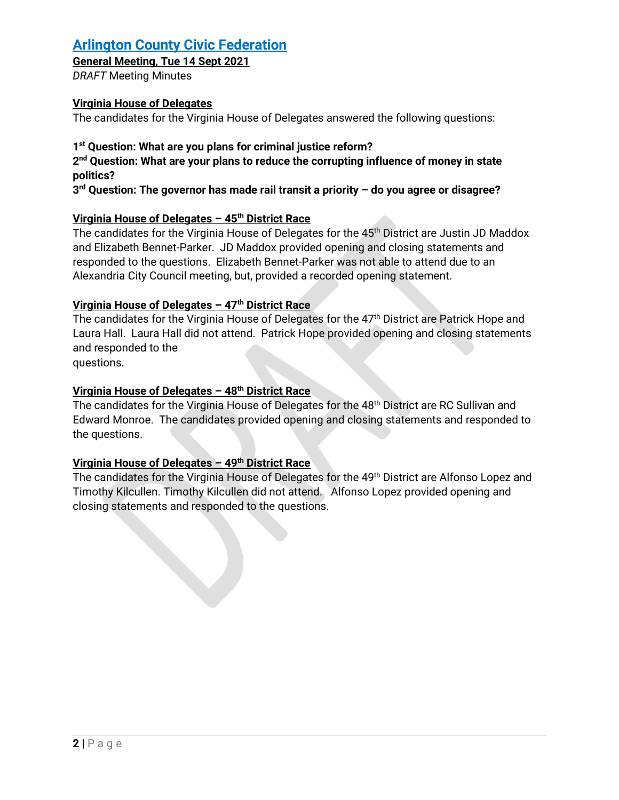## **General Meeting, Tue 14 Sept 2021**

*DRAFT* Meeting Minutes

## **Virginia House of Delegates**

The candidates for the Virginia House of Delegates answered the following questions:

## **1st Question: What are you plans for criminal justice reform?**

**2nd Question: What are your plans to reduce the corrupting influence of money in state politics?**

**3rd Question: The governor has made rail transit a priority – do you agree or disagree?**

## **Virginia House of Delegates – 45th District Race**

The candidates for the Virginia House of Delegates for the 45<sup>th</sup> District are Justin JD Maddox and Elizabeth Bennet-Parker. JD Maddox provided opening and closing statements and responded to the questions. Elizabeth Bennet-Parker was not able to attend due to an Alexandria City Council meeting, but, provided a recorded opening statement.

## **Virginia House of Delegates – 47th District Race**

The candidates for the Virginia House of Delegates for the 47<sup>th</sup> District are Patrick Hope and Laura Hall. Laura Hall did not attend. Patrick Hope provided opening and closing statements and responded to the

questions.

## **Virginia House of Delegates – 48th District Race**

The candidates for the Virginia House of Delegates for the 48th District are RC Sullivan and Edward Monroe. The candidates provided opening and closing statements and responded to the questions.

## **Virginia House of Delegates – 49th District Race**

The candidates for the Virginia House of Delegates for the 49<sup>th</sup> District are Alfonso Lopez and Timothy Kilcullen. Timothy Kilcullen did not attend. Alfonso Lopez provided opening and closing statements and responded to the questions.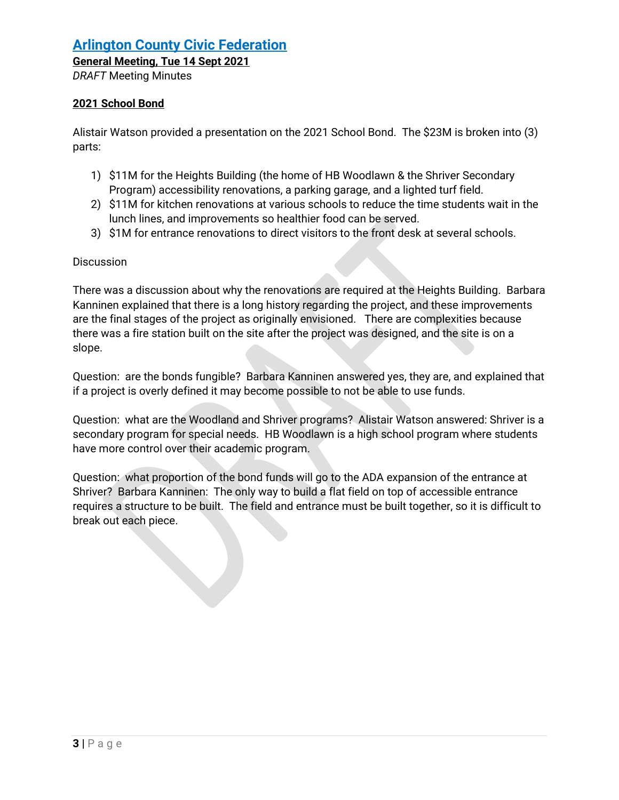**General Meeting, Tue 14 Sept 2021**

*DRAFT* Meeting Minutes

## **2021 School Bond**

Alistair Watson provided a presentation on the 2021 School Bond. The \$23M is broken into (3) parts:

- 1) \$11M for the Heights Building (the home of HB Woodlawn & the Shriver Secondary Program) accessibility renovations, a parking garage, and a lighted turf field.
- 2) \$11M for kitchen renovations at various schools to reduce the time students wait in the lunch lines, and improvements so healthier food can be served.
- 3) \$1M for entrance renovations to direct visitors to the front desk at several schools.

## **Discussion**

There was a discussion about why the renovations are required at the Heights Building. Barbara Kanninen explained that there is a long history regarding the project, and these improvements are the final stages of the project as originally envisioned. There are complexities because there was a fire station built on the site after the project was designed, and the site is on a slope.

Question: are the bonds fungible? Barbara Kanninen answered yes, they are, and explained that if a project is overly defined it may become possible to not be able to use funds.

Question: what are the Woodland and Shriver programs? Alistair Watson answered: Shriver is a secondary program for special needs. HB Woodlawn is a high school program where students have more control over their academic program.

Question: what proportion of the bond funds will go to the ADA expansion of the entrance at Shriver? Barbara Kanninen: The only way to build a flat field on top of accessible entrance requires a structure to be built. The field and entrance must be built together, so it is difficult to break out each piece.